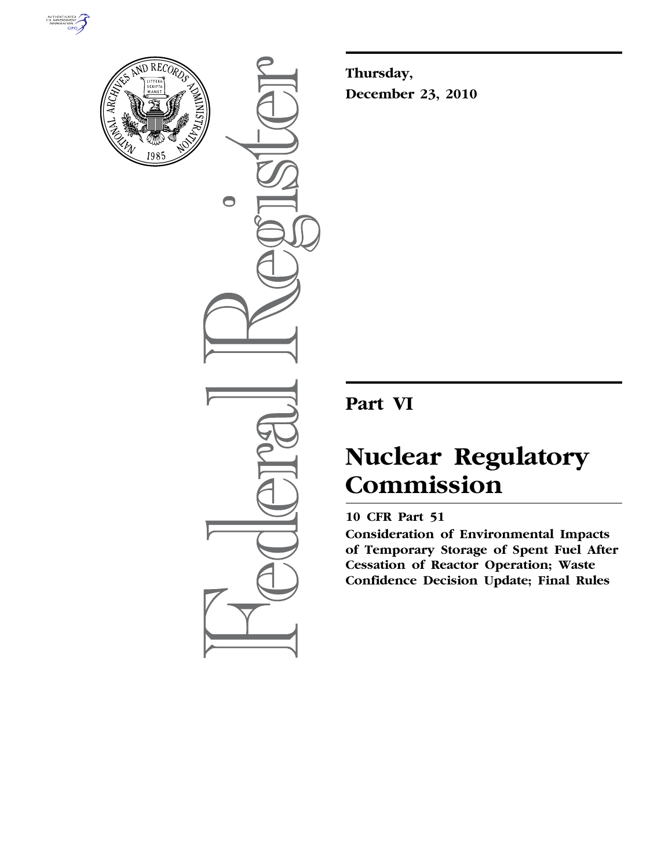



 $\bigcirc$ 

**Thursday, December 23, 2010** 

## **Part VI**

# **Nuclear Regulatory Commission**

## **10 CFR Part 51**

**Consideration of Environmental Impacts of Temporary Storage of Spent Fuel After Cessation of Reactor Operation; Waste Confidence Decision Update; Final Rules**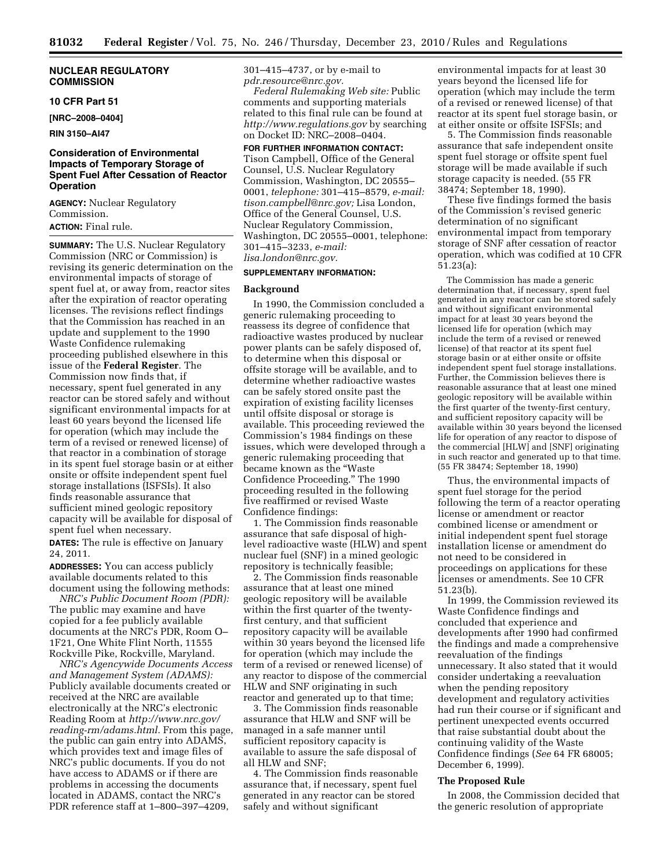#### **NUCLEAR REGULATORY COMMISSION**

#### **10 CFR Part 51**

**[NRC–2008–0404]** 

#### **RIN 3150–AI47**

#### **Consideration of Environmental Impacts of Temporary Storage of Spent Fuel After Cessation of Reactor Operation**

**AGENCY:** Nuclear Regulatory Commission. **ACTION:** Final rule.

**SUMMARY:** The U.S. Nuclear Regulatory Commission (NRC or Commission) is revising its generic determination on the environmental impacts of storage of spent fuel at, or away from, reactor sites after the expiration of reactor operating licenses. The revisions reflect findings that the Commission has reached in an update and supplement to the 1990 Waste Confidence rulemaking proceeding published elsewhere in this issue of the **Federal Register**. The Commission now finds that, if necessary, spent fuel generated in any reactor can be stored safely and without significant environmental impacts for at least 60 years beyond the licensed life for operation (which may include the term of a revised or renewed license) of that reactor in a combination of storage in its spent fuel storage basin or at either onsite or offsite independent spent fuel storage installations (ISFSIs). It also finds reasonable assurance that sufficient mined geologic repository capacity will be available for disposal of spent fuel when necessary.

**DATES:** The rule is effective on January 24, 2011.

**ADDRESSES:** You can access publicly available documents related to this document using the following methods:

*NRC's Public Document Room (PDR):*  The public may examine and have copied for a fee publicly available documents at the NRC's PDR, Room O– 1F21, One White Flint North, 11555 Rockville Pike, Rockville, Maryland.

*NRC's Agencywide Documents Access and Management System (ADAMS):*  Publicly available documents created or received at the NRC are available electronically at the NRC's electronic Reading Room at *[http://www.nrc.gov/](http://www.nrc.gov/reading-rm/adams.html)  [reading-rm/adams.html.](http://www.nrc.gov/reading-rm/adams.html)* From this page, the public can gain entry into ADAMS, which provides text and image files of NRC's public documents. If you do not have access to ADAMS or if there are problems in accessing the documents located in ADAMS, contact the NRC's PDR reference staff at 1–800–397–4209,

301–415–4737, or by e-mail to *[pdr.resource@nrc.gov.](mailto:pdr.resource@nrc.gov)* 

*Federal Rulemaking Web site:* Public comments and supporting materials related to this final rule can be found at *<http://www.regulations.gov>* by searching on Docket ID: NRC–2008–0404.

#### **FOR FURTHER INFORMATION CONTACT:**

Tison Campbell, Office of the General Counsel, U.S. Nuclear Regulatory Commission, Washington, DC 20555– 0001, *telephone:* 301–415–8579, *e-mail: [tison.campbell@nrc.gov;](mailto:tison.campbell@nrc.gov)* Lisa London, Office of the General Counsel, U.S. Nuclear Regulatory Commission, Washington, DC 20555–0001, telephone: 301–415–3233, *e-mail:* 

## *[lisa.london@nrc.gov.](mailto:lisa.london@nrc.gov)*

### **SUPPLEMENTARY INFORMATION:**

#### **Background**

In 1990, the Commission concluded a generic rulemaking proceeding to reassess its degree of confidence that radioactive wastes produced by nuclear power plants can be safely disposed of, to determine when this disposal or offsite storage will be available, and to determine whether radioactive wastes can be safely stored onsite past the expiration of existing facility licenses until offsite disposal or storage is available. This proceeding reviewed the Commission's 1984 findings on these issues, which were developed through a generic rulemaking proceeding that became known as the ''Waste Confidence Proceeding.'' The 1990 proceeding resulted in the following five reaffirmed or revised Waste Confidence findings:

1. The Commission finds reasonable assurance that safe disposal of highlevel radioactive waste (HLW) and spent nuclear fuel (SNF) in a mined geologic repository is technically feasible;

2. The Commission finds reasonable assurance that at least one mined geologic repository will be available within the first quarter of the twentyfirst century, and that sufficient repository capacity will be available within 30 years beyond the licensed life for operation (which may include the term of a revised or renewed license) of any reactor to dispose of the commercial HLW and SNF originating in such reactor and generated up to that time;

3. The Commission finds reasonable assurance that HLW and SNF will be managed in a safe manner until sufficient repository capacity is available to assure the safe disposal of all HLW and SNF;

4. The Commission finds reasonable assurance that, if necessary, spent fuel generated in any reactor can be stored safely and without significant

environmental impacts for at least 30 years beyond the licensed life for operation (which may include the term of a revised or renewed license) of that reactor at its spent fuel storage basin, or at either onsite or offsite ISFSIs; and

5. The Commission finds reasonable assurance that safe independent onsite spent fuel storage or offsite spent fuel storage will be made available if such storage capacity is needed. (55 FR 38474; September 18, 1990).

These five findings formed the basis of the Commission's revised generic determination of no significant environmental impact from temporary storage of SNF after cessation of reactor operation, which was codified at 10 CFR 51.23(a):

The Commission has made a generic determination that, if necessary, spent fuel generated in any reactor can be stored safely and without significant environmental impact for at least 30 years beyond the licensed life for operation (which may include the term of a revised or renewed license) of that reactor at its spent fuel storage basin or at either onsite or offsite independent spent fuel storage installations. Further, the Commission believes there is reasonable assurance that at least one mined geologic repository will be available within the first quarter of the twenty-first century, and sufficient repository capacity will be available within 30 years beyond the licensed life for operation of any reactor to dispose of the commercial [HLW] and [SNF] originating in such reactor and generated up to that time. (55 FR 38474; September 18, 1990)

Thus, the environmental impacts of spent fuel storage for the period following the term of a reactor operating license or amendment or reactor combined license or amendment or initial independent spent fuel storage installation license or amendment do not need to be considered in proceedings on applications for these licenses or amendments. See 10 CFR 51.23(b).

In 1999, the Commission reviewed its Waste Confidence findings and concluded that experience and developments after 1990 had confirmed the findings and made a comprehensive reevaluation of the findings unnecessary. It also stated that it would consider undertaking a reevaluation when the pending repository development and regulatory activities had run their course or if significant and pertinent unexpected events occurred that raise substantial doubt about the continuing validity of the Waste Confidence findings (*See* 64 FR 68005; December 6, 1999).

#### **The Proposed Rule**

In 2008, the Commission decided that the generic resolution of appropriate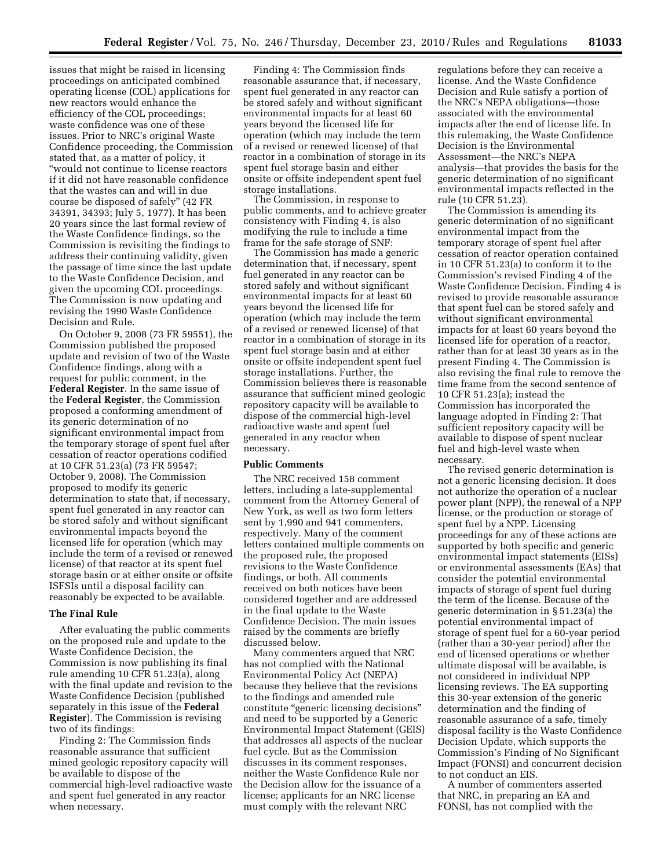issues that might be raised in licensing proceedings on anticipated combined operating license (COL) applications for new reactors would enhance the efficiency of the COL proceedings; waste confidence was one of these issues. Prior to NRC's original Waste Confidence proceeding, the Commission stated that, as a matter of policy, it ''would not continue to license reactors if it did not have reasonable confidence that the wastes can and will in due course be disposed of safely'' (42 FR 34391, 34393; July 5, 1977). It has been 20 years since the last formal review of the Waste Confidence findings, so the Commission is revisiting the findings to address their continuing validity, given the passage of time since the last update to the Waste Confidence Decision, and given the upcoming COL proceedings. The Commission is now updating and revising the 1990 Waste Confidence Decision and Rule.

On October 9, 2008 (73 FR 59551), the Commission published the proposed update and revision of two of the Waste Confidence findings, along with a request for public comment, in the **Federal Register**. In the same issue of the **Federal Register**, the Commission proposed a conforming amendment of its generic determination of no significant environmental impact from the temporary storage of spent fuel after cessation of reactor operations codified at 10 CFR 51.23(a) (73 FR 59547; October 9, 2008). The Commission proposed to modify its generic determination to state that, if necessary, spent fuel generated in any reactor can be stored safely and without significant environmental impacts beyond the licensed life for operation (which may include the term of a revised or renewed license) of that reactor at its spent fuel storage basin or at either onsite or offsite ISFSIs until a disposal facility can reasonably be expected to be available.

#### **The Final Rule**

After evaluating the public comments on the proposed rule and update to the Waste Confidence Decision, the Commission is now publishing its final rule amending 10 CFR 51.23(a), along with the final update and revision to the Waste Confidence Decision (published separately in this issue of the **Federal Register**). The Commission is revising two of its findings:

Finding 2: The Commission finds reasonable assurance that sufficient mined geologic repository capacity will be available to dispose of the commercial high-level radioactive waste and spent fuel generated in any reactor when necessary.

Finding 4: The Commission finds reasonable assurance that, if necessary, spent fuel generated in any reactor can be stored safely and without significant environmental impacts for at least 60 years beyond the licensed life for operation (which may include the term of a revised or renewed license) of that reactor in a combination of storage in its spent fuel storage basin and either onsite or offsite independent spent fuel storage installations.

The Commission, in response to public comments, and to achieve greater consistency with Finding 4, is also modifying the rule to include a time frame for the safe storage of SNF:

The Commission has made a generic determination that, if necessary, spent fuel generated in any reactor can be stored safely and without significant environmental impacts for at least 60 years beyond the licensed life for operation (which may include the term of a revised or renewed license) of that reactor in a combination of storage in its spent fuel storage basin and at either onsite or offsite independent spent fuel storage installations. Further, the Commission believes there is reasonable assurance that sufficient mined geologic repository capacity will be available to dispose of the commercial high-level radioactive waste and spent fuel generated in any reactor when necessary.

#### **Public Comments**

The NRC received 158 comment letters, including a late-supplemental comment from the Attorney General of New York, as well as two form letters sent by 1,990 and 941 commenters, respectively. Many of the comment letters contained multiple comments on the proposed rule, the proposed revisions to the Waste Confidence findings, or both. All comments received on both notices have been considered together and are addressed in the final update to the Waste Confidence Decision. The main issues raised by the comments are briefly discussed below.

Many commenters argued that NRC has not complied with the National Environmental Policy Act (NEPA) because they believe that the revisions to the findings and amended rule constitute ''generic licensing decisions'' and need to be supported by a Generic Environmental Impact Statement (GEIS) that addresses all aspects of the nuclear fuel cycle. But as the Commission discusses in its comment responses, neither the Waste Confidence Rule nor the Decision allow for the issuance of a license; applicants for an NRC license must comply with the relevant NRC

regulations before they can receive a license. And the Waste Confidence Decision and Rule satisfy a portion of the NRC's NEPA obligations—those associated with the environmental impacts after the end of license life. In this rulemaking, the Waste Confidence Decision is the Environmental Assessment—the NRC's NEPA analysis—that provides the basis for the generic determination of no significant environmental impacts reflected in the rule (10 CFR 51.23).

The Commission is amending its generic determination of no significant environmental impact from the temporary storage of spent fuel after cessation of reactor operation contained in 10 CFR 51.23(a) to conform it to the Commission's revised Finding 4 of the Waste Confidence Decision. Finding 4 is revised to provide reasonable assurance that spent fuel can be stored safely and without significant environmental impacts for at least 60 years beyond the licensed life for operation of a reactor, rather than for at least 30 years as in the present Finding 4. The Commission is also revising the final rule to remove the time frame from the second sentence of 10 CFR 51.23(a); instead the Commission has incorporated the language adopted in Finding 2: That sufficient repository capacity will be available to dispose of spent nuclear fuel and high-level waste when necessary.

The revised generic determination is not a generic licensing decision. It does not authorize the operation of a nuclear power plant (NPP), the renewal of a NPP license, or the production or storage of spent fuel by a NPP. Licensing proceedings for any of these actions are supported by both specific and generic environmental impact statements (EISs) or environmental assessments (EAs) that consider the potential environmental impacts of storage of spent fuel during the term of the license. Because of the generic determination in § 51.23(a) the potential environmental impact of storage of spent fuel for a 60-year period (rather than a 30-year period) after the end of licensed operations or whether ultimate disposal will be available, is not considered in individual NPP licensing reviews. The EA supporting this 30-year extension of the generic determination and the finding of reasonable assurance of a safe, timely disposal facility is the Waste Confidence Decision Update, which supports the Commission's Finding of No Significant Impact (FONSI) and concurrent decision to not conduct an EIS.

A number of commenters asserted that NRC, in preparing an EA and FONSI, has not complied with the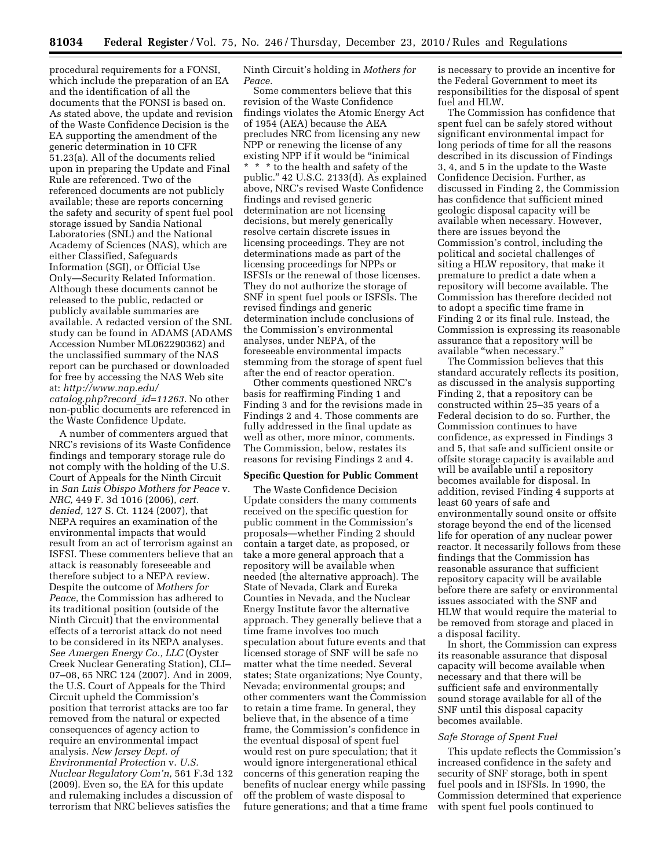procedural requirements for a FONSI, which include the preparation of an EA and the identification of all the documents that the FONSI is based on. As stated above, the update and revision of the Waste Confidence Decision is the EA supporting the amendment of the generic determination in 10 CFR 51.23(a). All of the documents relied upon in preparing the Update and Final Rule are referenced. Two of the referenced documents are not publicly available; these are reports concerning the safety and security of spent fuel pool storage issued by Sandia National Laboratories (SNL) and the National Academy of Sciences (NAS), which are either Classified, Safeguards Information (SGI), or Official Use Only—Security Related Information. Although these documents cannot be released to the public, redacted or publicly available summaries are available. A redacted version of the SNL study can be found in ADAMS (ADAMS Accession Number ML062290362) and the unclassified summary of the NAS report can be purchased or downloaded for free by accessing the NAS Web site at: *[http://www.nap.edu/](http://www.nap.edu/catalog.php?record_id=11263) [catalog.php?record](http://www.nap.edu/catalog.php?record_id=11263)*\_*id=11263.* No other non-public documents are referenced in the Waste Confidence Update.

A number of commenters argued that NRC's revisions of its Waste Confidence findings and temporary storage rule do not comply with the holding of the U.S. Court of Appeals for the Ninth Circuit in *San Luis Obispo Mothers for Peace* v. *NRC,* 449 F. 3d 1016 (2006), *cert. denied,* 127 S. Ct. 1124 (2007), that NEPA requires an examination of the environmental impacts that would result from an act of terrorism against an ISFSI. These commenters believe that an attack is reasonably foreseeable and therefore subject to a NEPA review. Despite the outcome of *Mothers for Peace,* the Commission has adhered to its traditional position (outside of the Ninth Circuit) that the environmental effects of a terrorist attack do not need to be considered in its NEPA analyses. *See Amergen Energy Co., LLC* (Oyster Creek Nuclear Generating Station), CLI– 07–08, 65 NRC 124 (2007). And in 2009, the U.S. Court of Appeals for the Third Circuit upheld the Commission's position that terrorist attacks are too far removed from the natural or expected consequences of agency action to require an environmental impact analysis. *New Jersey Dept. of Environmental Protection* v. *U.S. Nuclear Regulatory Com'n,* 561 F.3d 132 (2009). Even so, the EA for this update and rulemaking includes a discussion of terrorism that NRC believes satisfies the

Ninth Circuit's holding in *Mothers for Peace.* 

Some commenters believe that this revision of the Waste Confidence findings violates the Atomic Energy Act of 1954 (AEA) because the AEA precludes NRC from licensing any new NPP or renewing the license of any existing NPP if it would be ''inimical \* \* \* to the health and safety of the public.'' 42 U.S.C. 2133(d). As explained above, NRC's revised Waste Confidence findings and revised generic determination are not licensing decisions, but merely generically resolve certain discrete issues in licensing proceedings. They are not determinations made as part of the licensing proceedings for NPPs or ISFSIs or the renewal of those licenses. They do not authorize the storage of SNF in spent fuel pools or ISFSIs. The revised findings and generic determination include conclusions of the Commission's environmental analyses, under NEPA, of the foreseeable environmental impacts stemming from the storage of spent fuel after the end of reactor operation.

Other comments questioned NRC's basis for reaffirming Finding 1 and Finding 3 and for the revisions made in Findings 2 and 4. Those comments are fully addressed in the final update as well as other, more minor, comments. The Commission, below, restates its reasons for revising Findings 2 and 4.

#### **Specific Question for Public Comment**

The Waste Confidence Decision Update considers the many comments received on the specific question for public comment in the Commission's proposals—whether Finding 2 should contain a target date, as proposed, or take a more general approach that a repository will be available when needed (the alternative approach). The State of Nevada, Clark and Eureka Counties in Nevada, and the Nuclear Energy Institute favor the alternative approach. They generally believe that a time frame involves too much speculation about future events and that licensed storage of SNF will be safe no matter what the time needed. Several states; State organizations; Nye County, Nevada; environmental groups; and other commenters want the Commission to retain a time frame. In general, they believe that, in the absence of a time frame, the Commission's confidence in the eventual disposal of spent fuel would rest on pure speculation; that it would ignore intergenerational ethical concerns of this generation reaping the benefits of nuclear energy while passing off the problem of waste disposal to future generations; and that a time frame is necessary to provide an incentive for the Federal Government to meet its responsibilities for the disposal of spent fuel and HLW.

The Commission has confidence that spent fuel can be safely stored without significant environmental impact for long periods of time for all the reasons described in its discussion of Findings 3, 4, and 5 in the update to the Waste Confidence Decision. Further, as discussed in Finding 2, the Commission has confidence that sufficient mined geologic disposal capacity will be available when necessary. However, there are issues beyond the Commission's control, including the political and societal challenges of siting a HLW repository, that make it premature to predict a date when a repository will become available. The Commission has therefore decided not to adopt a specific time frame in Finding 2 or its final rule. Instead, the Commission is expressing its reasonable assurance that a repository will be available ''when necessary.''

The Commission believes that this standard accurately reflects its position, as discussed in the analysis supporting Finding 2, that a repository can be constructed within 25–35 years of a Federal decision to do so. Further, the Commission continues to have confidence, as expressed in Findings 3 and 5, that safe and sufficient onsite or offsite storage capacity is available and will be available until a repository becomes available for disposal. In addition, revised Finding 4 supports at least 60 years of safe and environmentally sound onsite or offsite storage beyond the end of the licensed life for operation of any nuclear power reactor. It necessarily follows from these findings that the Commission has reasonable assurance that sufficient repository capacity will be available before there are safety or environmental issues associated with the SNF and HLW that would require the material to be removed from storage and placed in a disposal facility.

In short, the Commission can express its reasonable assurance that disposal capacity will become available when necessary and that there will be sufficient safe and environmentally sound storage available for all of the SNF until this disposal capacity becomes available.

#### *Safe Storage of Spent Fuel*

This update reflects the Commission's increased confidence in the safety and security of SNF storage, both in spent fuel pools and in ISFSIs. In 1990, the Commission determined that experience with spent fuel pools continued to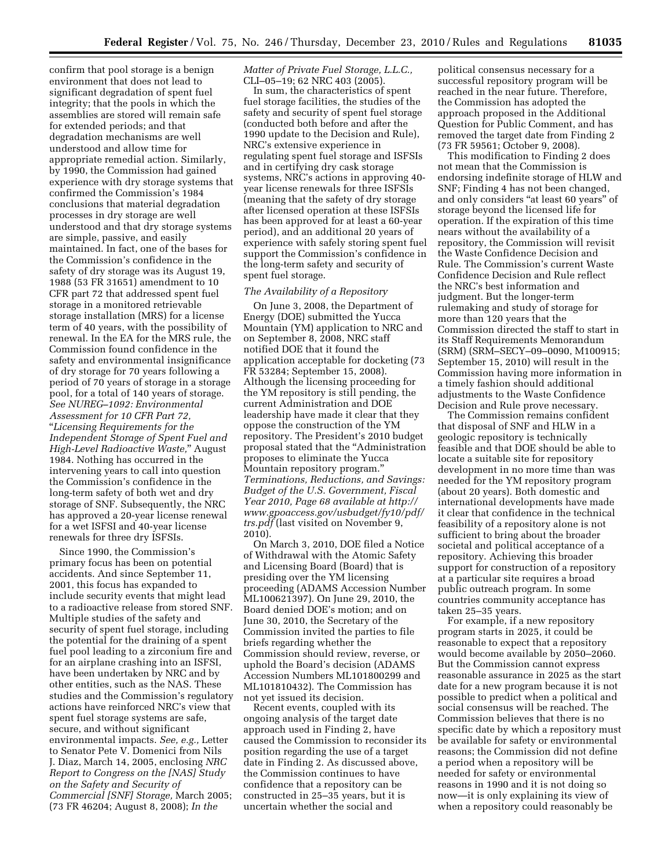confirm that pool storage is a benign environment that does not lead to significant degradation of spent fuel integrity; that the pools in which the assemblies are stored will remain safe for extended periods; and that degradation mechanisms are well understood and allow time for appropriate remedial action. Similarly, by 1990, the Commission had gained experience with dry storage systems that confirmed the Commission's 1984 conclusions that material degradation processes in dry storage are well understood and that dry storage systems are simple, passive, and easily maintained. In fact, one of the bases for the Commission's confidence in the safety of dry storage was its August 19, 1988 (53 FR 31651) amendment to 10 CFR part 72 that addressed spent fuel storage in a monitored retrievable storage installation (MRS) for a license term of 40 years, with the possibility of renewal. In the EA for the MRS rule, the Commission found confidence in the safety and environmental insignificance of dry storage for 70 years following a period of 70 years of storage in a storage pool, for a total of 140 years of storage. *See NUREG–1092: Environmental Assessment for 10 CFR Part 72,*  ''*Licensing Requirements for the Independent Storage of Spent Fuel and High-Level Radioactive Waste,*'' August 1984. Nothing has occurred in the intervening years to call into question the Commission's confidence in the long-term safety of both wet and dry storage of SNF. Subsequently, the NRC has approved a 20-year license renewal for a wet ISFSI and 40-year license renewals for three dry ISFSIs.

Since 1990, the Commission's primary focus has been on potential accidents. And since September 11, 2001, this focus has expanded to include security events that might lead to a radioactive release from stored SNF. Multiple studies of the safety and security of spent fuel storage, including the potential for the draining of a spent fuel pool leading to a zirconium fire and for an airplane crashing into an ISFSI, have been undertaken by NRC and by other entities, such as the NAS. These studies and the Commission's regulatory actions have reinforced NRC's view that spent fuel storage systems are safe, secure, and without significant environmental impacts. *See, e.g.,* Letter to Senator Pete V. Domenici from Nils J. Diaz, March 14, 2005, enclosing *NRC Report to Congress on the [NAS] Study on the Safety and Security of Commercial [SNF] Storage,* March 2005; (73 FR 46204; August 8, 2008); *In the* 

*Matter of Private Fuel Storage, L.L.C.,*  CLI–05–19; 62 NRC 403 (2005).

In sum, the characteristics of spent fuel storage facilities, the studies of the safety and security of spent fuel storage (conducted both before and after the 1990 update to the Decision and Rule), NRC's extensive experience in regulating spent fuel storage and ISFSIs and in certifying dry cask storage systems, NRC's actions in approving 40 year license renewals for three ISFSIs (meaning that the safety of dry storage after licensed operation at these ISFSIs has been approved for at least a 60-year period), and an additional 20 years of experience with safely storing spent fuel support the Commission's confidence in the long-term safety and security of spent fuel storage.

#### *The Availability of a Repository*

On June 3, 2008, the Department of Energy (DOE) submitted the Yucca Mountain (YM) application to NRC and on September 8, 2008, NRC staff notified DOE that it found the application acceptable for docketing (73 FR 53284; September 15, 2008). Although the licensing proceeding for the YM repository is still pending, the current Administration and DOE leadership have made it clear that they oppose the construction of the YM repository. The President's 2010 budget proposal stated that the ''Administration proposes to eliminate the Yucca Mountain repository program.'' *Terminations, Reductions, and Savings: Budget of the U.S. Government, Fiscal Year 2010, Page 68 available at [http://](http://www.gpoaccess.gov/usbudget/fy10/pdf/trs.pdf) [www.gpoaccess.gov/usbudget/fy10/pdf/](http://www.gpoaccess.gov/usbudget/fy10/pdf/trs.pdf) [trs.pdf](http://www.gpoaccess.gov/usbudget/fy10/pdf/trs.pdf)* (last visited on November 9, 2010).

On March 3, 2010, DOE filed a Notice of Withdrawal with the Atomic Safety and Licensing Board (Board) that is presiding over the YM licensing proceeding (ADAMS Accession Number ML100621397). On June 29, 2010, the Board denied DOE's motion; and on June 30, 2010, the Secretary of the Commission invited the parties to file briefs regarding whether the Commission should review, reverse, or uphold the Board's decision (ADAMS Accession Numbers ML101800299 and ML101810432). The Commission has not yet issued its decision.

Recent events, coupled with its ongoing analysis of the target date approach used in Finding 2, have caused the Commission to reconsider its position regarding the use of a target date in Finding 2. As discussed above, the Commission continues to have confidence that a repository can be constructed in 25–35 years, but it is uncertain whether the social and

political consensus necessary for a successful repository program will be reached in the near future. Therefore, the Commission has adopted the approach proposed in the Additional Question for Public Comment, and has removed the target date from Finding 2 (73 FR 59561; October 9, 2008).

This modification to Finding 2 does not mean that the Commission is endorsing indefinite storage of HLW and SNF; Finding 4 has not been changed, and only considers ''at least 60 years'' of storage beyond the licensed life for operation. If the expiration of this time nears without the availability of a repository, the Commission will revisit the Waste Confidence Decision and Rule. The Commission's current Waste Confidence Decision and Rule reflect the NRC's best information and judgment. But the longer-term rulemaking and study of storage for more than 120 years that the Commission directed the staff to start in its Staff Requirements Memorandum (SRM) (SRM–SECY–09–0090, M100915; September 15, 2010) will result in the Commission having more information in a timely fashion should additional adjustments to the Waste Confidence Decision and Rule prove necessary.

The Commission remains confident that disposal of SNF and HLW in a geologic repository is technically feasible and that DOE should be able to locate a suitable site for repository development in no more time than was needed for the YM repository program (about 20 years). Both domestic and international developments have made it clear that confidence in the technical feasibility of a repository alone is not sufficient to bring about the broader societal and political acceptance of a repository. Achieving this broader support for construction of a repository at a particular site requires a broad public outreach program. In some countries community acceptance has taken 25–35 years.

For example, if a new repository program starts in 2025, it could be reasonable to expect that a repository would become available by 2050–2060. But the Commission cannot express reasonable assurance in 2025 as the start date for a new program because it is not possible to predict when a political and social consensus will be reached. The Commission believes that there is no specific date by which a repository must be available for safety or environmental reasons; the Commission did not define a period when a repository will be needed for safety or environmental reasons in 1990 and it is not doing so now—it is only explaining its view of when a repository could reasonably be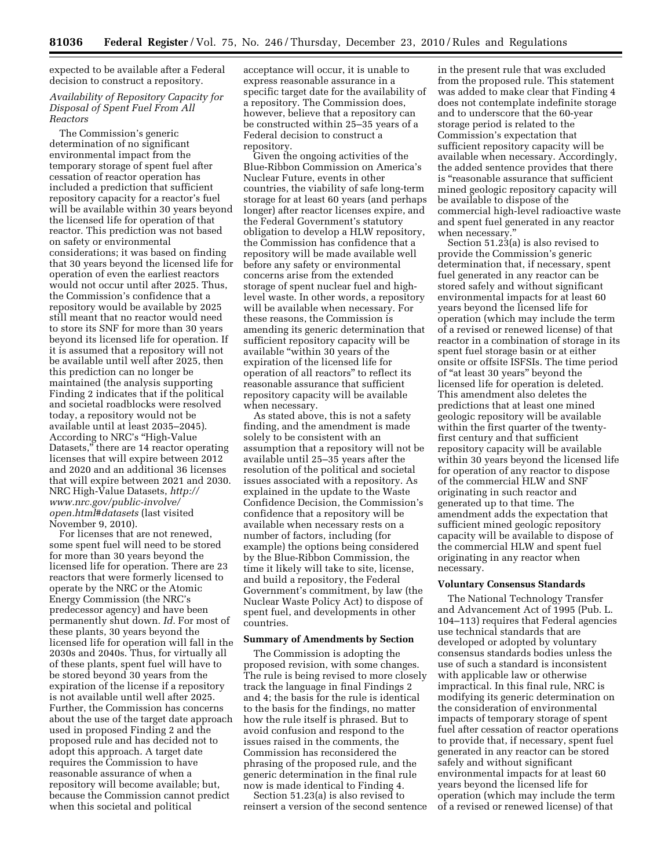expected to be available after a Federal decision to construct a repository.

#### *Availability of Repository Capacity for Disposal of Spent Fuel From All Reactors*

The Commission's generic determination of no significant environmental impact from the temporary storage of spent fuel after cessation of reactor operation has included a prediction that sufficient repository capacity for a reactor's fuel will be available within 30 years beyond the licensed life for operation of that reactor. This prediction was not based on safety or environmental considerations; it was based on finding that 30 years beyond the licensed life for operation of even the earliest reactors would not occur until after 2025. Thus, the Commission's confidence that a repository would be available by 2025 still meant that no reactor would need to store its SNF for more than 30 years beyond its licensed life for operation. If it is assumed that a repository will not be available until well after 2025, then this prediction can no longer be maintained (the analysis supporting Finding 2 indicates that if the political and societal roadblocks were resolved today, a repository would not be available until at least 2035–2045). According to NRC's ''High-Value Datasets,'' there are 14 reactor operating licenses that will expire between 2012 and 2020 and an additional 36 licenses that will expire between 2021 and 2030. NRC High-Value Datasets, *[http://](http://www.nrc.gov/public-involve/open.html#datasets) [www.nrc.gov/public-involve/](http://www.nrc.gov/public-involve/open.html#datasets) [open.html#datasets](http://www.nrc.gov/public-involve/open.html#datasets)* (last visited November 9, 2010).

For licenses that are not renewed, some spent fuel will need to be stored for more than 30 years beyond the licensed life for operation. There are 23 reactors that were formerly licensed to operate by the NRC or the Atomic Energy Commission (the NRC's predecessor agency) and have been permanently shut down. *Id.* For most of these plants, 30 years beyond the licensed life for operation will fall in the 2030s and 2040s. Thus, for virtually all of these plants, spent fuel will have to be stored beyond 30 years from the expiration of the license if a repository is not available until well after 2025. Further, the Commission has concerns about the use of the target date approach used in proposed Finding 2 and the proposed rule and has decided not to adopt this approach. A target date requires the Commission to have reasonable assurance of when a repository will become available; but, because the Commission cannot predict when this societal and political

acceptance will occur, it is unable to express reasonable assurance in a specific target date for the availability of a repository. The Commission does, however, believe that a repository can be constructed within 25–35 years of a Federal decision to construct a repository.

Given the ongoing activities of the Blue-Ribbon Commission on America's Nuclear Future, events in other countries, the viability of safe long-term storage for at least 60 years (and perhaps longer) after reactor licenses expire, and the Federal Government's statutory obligation to develop a HLW repository, the Commission has confidence that a repository will be made available well before any safety or environmental concerns arise from the extended storage of spent nuclear fuel and highlevel waste. In other words, a repository will be available when necessary. For these reasons, the Commission is amending its generic determination that sufficient repository capacity will be available ''within 30 years of the expiration of the licensed life for operation of all reactors'' to reflect its reasonable assurance that sufficient repository capacity will be available when necessary.

As stated above, this is not a safety finding, and the amendment is made solely to be consistent with an assumption that a repository will not be available until 25–35 years after the resolution of the political and societal issues associated with a repository. As explained in the update to the Waste Confidence Decision, the Commission's confidence that a repository will be available when necessary rests on a number of factors, including (for example) the options being considered by the Blue-Ribbon Commission, the time it likely will take to site, license, and build a repository, the Federal Government's commitment, by law (the Nuclear Waste Policy Act) to dispose of spent fuel, and developments in other countries.

#### **Summary of Amendments by Section**

The Commission is adopting the proposed revision, with some changes. The rule is being revised to more closely track the language in final Findings 2 and 4; the basis for the rule is identical to the basis for the findings, no matter how the rule itself is phrased. But to avoid confusion and respond to the issues raised in the comments, the Commission has reconsidered the phrasing of the proposed rule, and the generic determination in the final rule now is made identical to Finding 4.

Section 51.23(a) is also revised to reinsert a version of the second sentence

in the present rule that was excluded from the proposed rule. This statement was added to make clear that Finding 4 does not contemplate indefinite storage and to underscore that the 60-year storage period is related to the Commission's expectation that sufficient repository capacity will be available when necessary. Accordingly, the added sentence provides that there is "reasonable assurance that sufficient mined geologic repository capacity will be available to dispose of the commercial high-level radioactive waste and spent fuel generated in any reactor when necessary.''

Section 51.23(a) is also revised to provide the Commission's generic determination that, if necessary, spent fuel generated in any reactor can be stored safely and without significant environmental impacts for at least 60 years beyond the licensed life for operation (which may include the term of a revised or renewed license) of that reactor in a combination of storage in its spent fuel storage basin or at either onsite or offsite ISFSIs. The time period of ''at least 30 years'' beyond the licensed life for operation is deleted. This amendment also deletes the predictions that at least one mined geologic repository will be available within the first quarter of the twentyfirst century and that sufficient repository capacity will be available within 30 years beyond the licensed life for operation of any reactor to dispose of the commercial HLW and SNF originating in such reactor and generated up to that time. The amendment adds the expectation that sufficient mined geologic repository capacity will be available to dispose of the commercial HLW and spent fuel originating in any reactor when necessary.

#### **Voluntary Consensus Standards**

The National Technology Transfer and Advancement Act of 1995 (Pub. L. 104–113) requires that Federal agencies use technical standards that are developed or adopted by voluntary consensus standards bodies unless the use of such a standard is inconsistent with applicable law or otherwise impractical. In this final rule, NRC is modifying its generic determination on the consideration of environmental impacts of temporary storage of spent fuel after cessation of reactor operations to provide that, if necessary, spent fuel generated in any reactor can be stored safely and without significant environmental impacts for at least 60 years beyond the licensed life for operation (which may include the term of a revised or renewed license) of that